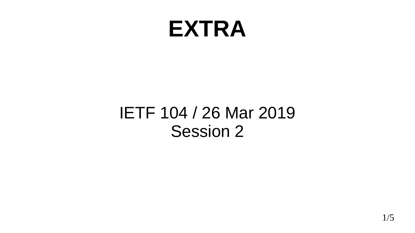### **EXTRA**

#### IETF 104 / 26 Mar 2019 Session 2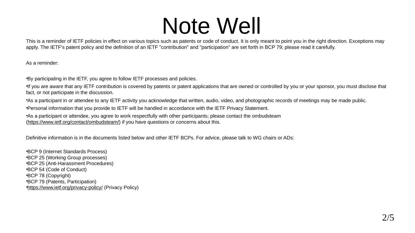## Note Well

This is a reminder of IETF policies in effect on various topics such as patents or code of conduct. It is only meant to point you in the right direction. Exceptions may apply. The IETF's patent policy and the definition of an IETF "contribution" and "participation" are set forth in BCP 79; please read it carefully.

As a reminder:

•By participating in the IETF, you agree to follow IETF processes and policies.

•If you are aware that any IETF contribution is covered by patents or patent applications that are owned or controlled by you or your sponsor, you must disclose that fact, or not participate in the discussion.

•As a participant in or attendee to any IETF activity you acknowledge that written, audio, video, and photographic records of meetings may be made public.

•Personal information that you provide to IETF will be handled in accordance with the IETF Privacy Statement.

•As a participant or attendee, you agree to work respectfully with other participants; please contact the ombudsteam [\(https://www.ietf.org/contact/ombudsteam/\)](https://www.ietf.org/contact/ombudsteam/) if you have questions or concerns about this.

Definitive information is in the documents listed below and other IETF BCPs. For advice, please talk to WG chairs or ADs:

•BCP 9 (Internet Standards Process) •BCP 25 (Working Group processes) •BCP 25 (Anti-Harassment Procedures) •BCP 54 (Code of Conduct) •BCP 78 (Copyright) •BCP 79 (Patents, Participation) •<https://www.ietf.org/privacy-policy/>(Privacy Policy)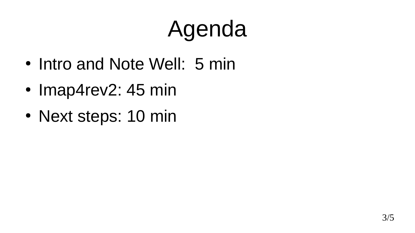# Agenda

- Intro and Note Well: 5 min
- Imap4rev2: 45 min
- Next steps: 10 min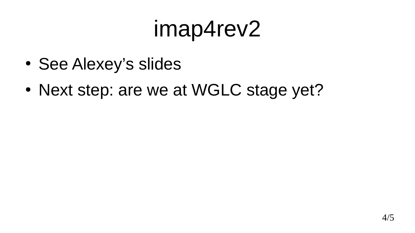# imap4rev2

- See Alexey's slides
- Next step: are we at WGLC stage yet?